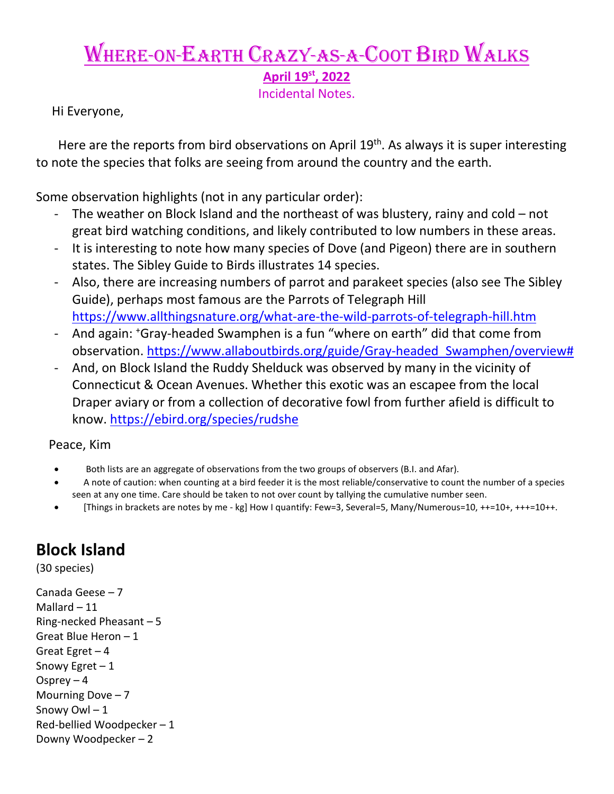# Where-on-Earth Crazy-as-a-Coot Bird Walks

**April 19st, 2022** 

Incidental Notes.

Hi Everyone,

Here are the reports from bird observations on April 19<sup>th</sup>. As always it is super interesting to note the species that folks are seeing from around the country and the earth.

Some observation highlights (not in any particular order):

- The weather on Block Island and the northeast of was blustery, rainy and cold  $-$  not great bird watching conditions, and likely contributed to low numbers in these areas.
- It is interesting to note how many species of Dove (and Pigeon) there are in southern states. The Sibley Guide to Birds illustrates 14 species.
- Also, there are increasing numbers of parrot and parakeet species (also see The Sibley Guide), perhaps most famous are the Parrots of Telegraph Hill <https://www.allthingsnature.org/what-are-the-wild-parrots-of-telegraph-hill.htm>
- And again: 'Gray-headed Swamphen is a fun "where on earth" did that come from observation. https://www.allaboutbirds.org/guide/Gray-headed Swamphen/overview#
- And, on Block Island the Ruddy Shelduck was observed by many in the vicinity of Connecticut & Ocean Avenues. Whether this exotic was an escapee from the local Draper aviary or from a collection of decorative fowl from further afield is difficult to know.<https://ebird.org/species/rudshe>

Peace, Kim

- Both lists are an aggregate of observations from the two groups of observers (B.I. and Afar).
- A note of caution: when counting at a bird feeder it is the most reliable/conservative to count the number of a species seen at any one time. Care should be taken to not over count by tallying the cumulative number seen.
- [Things in brackets are notes by me kg] How I quantify: Few=3, Several=5, Many/Numerous=10, ++=10+, +++=10++.

# **Block Island**

(30 species)

Canada Geese – 7 Mallard – 11 Ring-necked Pheasant – 5 Great Blue Heron – 1 Great Egret – 4 Snowy Egret  $-1$ Osprey  $-4$ Mourning Dove  $-7$ Snowy Owl – 1 Red-bellied Woodpecker – 1 Downy Woodpecker – 2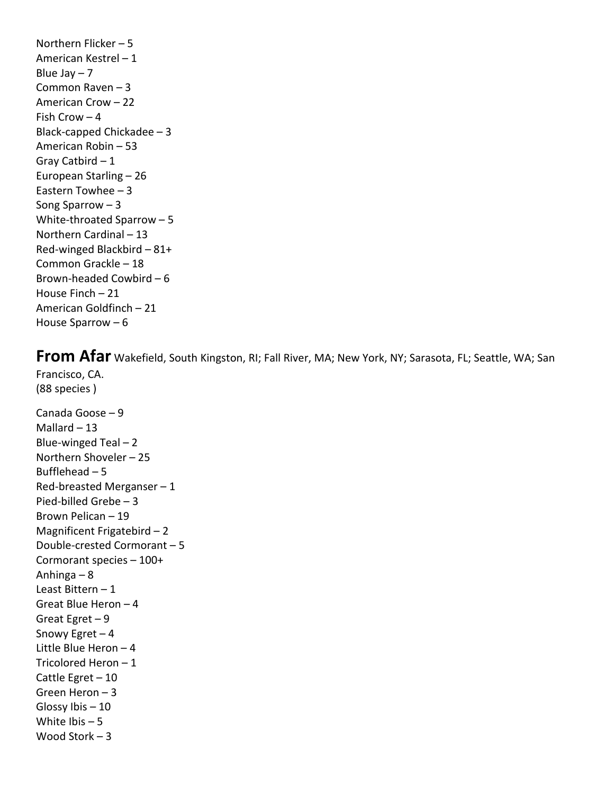Northern Flicker – 5 American Kestrel – 1 Blue Jay  $-7$ Common Raven – 3 American Crow – 22 Fish Crow – 4 Black-capped Chickadee – 3 American Robin – 53 Gray Catbird – 1 European Starling – 26 Eastern Towhee – 3 Song Sparrow – 3 White-throated Sparrow – 5 Northern Cardinal – 13 Red-winged Blackbird – 81+ Common Grackle – 18 Brown-headed Cowbird – 6 House Finch – 21 American Goldfinch – 21 House Sparrow – 6

**From Afar** Wakefield, South Kingston, RI; Fall River, MA; New York, NY; Sarasota, FL; Seattle, WA; San Francisco, CA.

Canada Goose – 9 Mallard  $-13$ Blue-winged Teal  $-2$ Northern Shoveler – 25 Bufflehead  $-5$ Red-breasted Merganser  $-1$ Pied-billed Grebe – 3 Brown Pelican – 19 Magnificent Frigatebird – 2 Double-crested Cormorant – 5 Cormorant species – 100+ Anhinga – 8 Least Bittern – 1 Great Blue Heron – 4 Great Egret – 9 Snowy Egret – 4 Little Blue Heron – 4 Tricolored Heron – 1 Cattle Egret – 10 Green Heron – 3 Glossy Ibis – 10 White Ibis – 5 Wood Stork – 3

(88 species )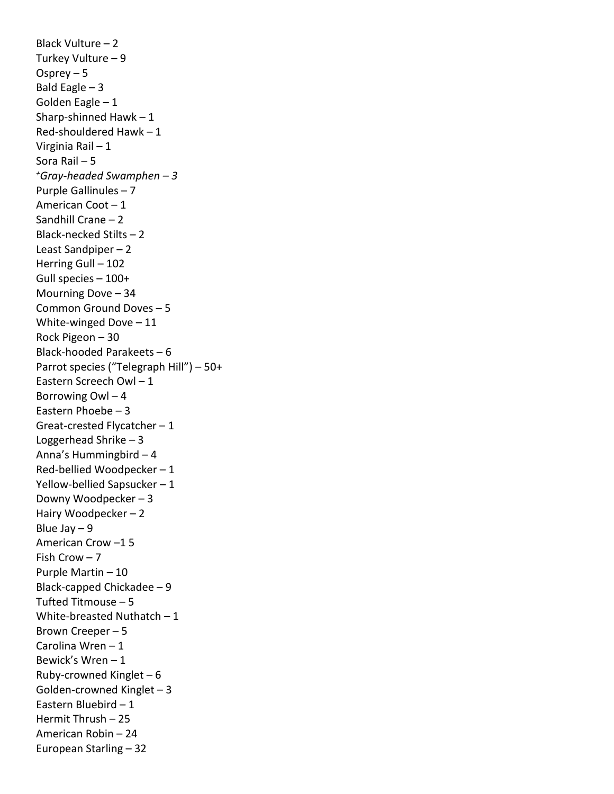Black Vulture – 2 Turkey Vulture – 9 Osprey – 5 Bald Eagle  $-3$ Golden Eagle – 1 Sharp-shinned Hawk – 1 Red-shouldered Hawk – 1 Virginia Rail – 1 Sora Rail – 5 *+Gray-headed Swamphen – 3* Purple Gallinules – 7 American Coot – 1 Sandhill Crane – 2 Black-necked Stilts – 2 Least Sandpiper – 2 Herring Gull – 102 Gull species – 100+ Mourning Dove – 34 Common Ground Doves – 5 White-winged Dove – 11 Rock Pigeon – 30 Black-hooded Parakeets – 6 Parrot species ("Telegraph Hill") – 50+ Eastern Screech Owl – 1 Borrowing Owl – 4 Eastern Phoebe – 3 Great-crested Flycatcher – 1 Loggerhead Shrike – 3 Anna's Hummingbird – 4 Red-bellied Woodpecker – 1 Yellow-bellied Sapsucker – 1 Downy Woodpecker – 3 Hairy Woodpecker – 2 Blue Jay – 9 American Crow –1 5 Fish Crow – 7 Purple Martin – 10 Black-capped Chickadee – 9 Tufted Titmouse – 5 White-breasted Nuthatch – 1 Brown Creeper – 5 Carolina Wren – 1 Bewick's Wren – 1 Ruby-crowned Kinglet – 6 Golden-crowned Kinglet – 3 Eastern Bluebird – 1 Hermit Thrush – 25 American Robin – 24 European Starling – 32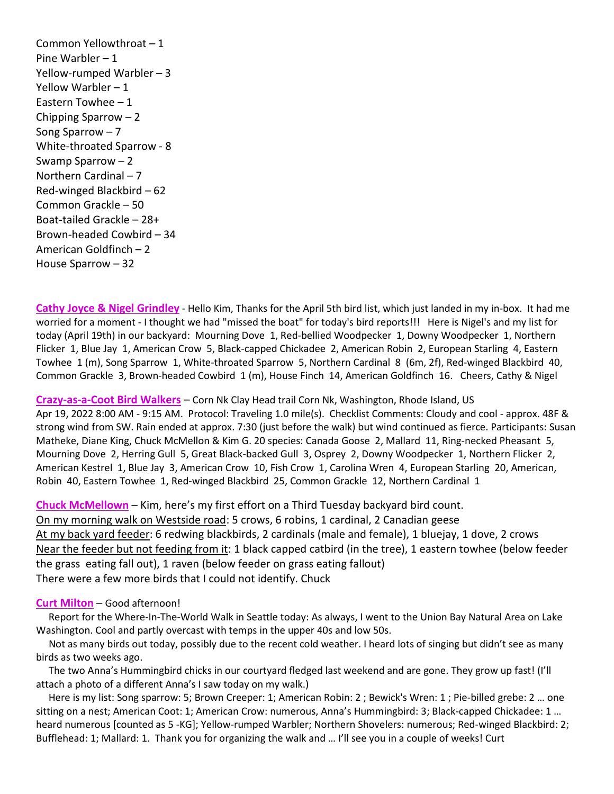Common Yellowthroat – 1 Pine Warbler – 1 Yellow-rumped Warbler – 3 Yellow Warbler – 1 Eastern Towhee – 1 Chipping Sparrow – 2 Song Sparrow – 7 White-throated Sparrow - 8 Swamp Sparrow – 2 Northern Cardinal – 7 Red-winged Blackbird – 62 Common Grackle – 50 Boat-tailed Grackle – 28+ Brown-headed Cowbird – 34 American Goldfinch – 2 House Sparrow – 32

**Cathy Joyce & Nigel Grindley** - Hello Kim, Thanks for the April 5th bird list, which just landed in my in-box. It had me worried for a moment - I thought we had "missed the boat" for today's bird reports!!! Here is Nigel's and my list for today (April 19th) in our backyard: Mourning Dove 1, Red-bellied Woodpecker 1, Downy Woodpecker 1, Northern Flicker 1, Blue Jay 1, American Crow 5, Black-capped Chickadee 2, American Robin 2, European Starling 4, Eastern Towhee 1 (m), Song Sparrow 1, White-throated Sparrow 5, Northern Cardinal 8 (6m, 2f), Red-winged Blackbird 40, Common Grackle 3, Brown-headed Cowbird 1 (m), House Finch 14, American Goldfinch 16. Cheers, Cathy & Nigel

## **Crazy-as-a-Coot Bird Walkers** – Corn Nk Clay Head trail Corn Nk, Washington, Rhode Island, US

Apr 19, 2022 8:00 AM - 9:15 AM. Protocol: Traveling 1.0 mile(s). Checklist Comments: Cloudy and cool - approx. 48F & strong wind from SW. Rain ended at approx. 7:30 (just before the walk) but wind continued as fierce. Participants: Susan Matheke, Diane King, Chuck McMellon & Kim G. 20 species: Canada Goose 2, Mallard 11, Ring-necked Pheasant 5, Mourning Dove 2, Herring Gull 5, Great Black-backed Gull 3, Osprey 2, Downy Woodpecker 1, Northern Flicker 2, American Kestrel 1, Blue Jay 3, American Crow 10, Fish Crow 1, Carolina Wren 4, European Starling 20, American, Robin 40, Eastern Towhee 1, Red-winged Blackbird 25, Common Grackle 12, Northern Cardinal 1

**Chuck McMellown** – Kim, here's my first effort on a Third Tuesday backyard bird count. On my morning walk on Westside road: 5 crows, 6 robins, 1 cardinal, 2 Canadian geese At my back yard feeder: 6 redwing blackbirds, 2 cardinals (male and female), 1 bluejay, 1 dove, 2 crows Near the feeder but not feeding from it: 1 black capped catbird (in the tree), 1 eastern towhee (below feeder the grass eating fall out), 1 raven (below feeder on grass eating fallout) There were a few more birds that I could not identify. Chuck

## **Curt Milton** – Good afternoon!

 Report for the Where-In-The-World Walk in Seattle today: As always, I went to the Union Bay Natural Area on Lake Washington. Cool and partly overcast with temps in the upper 40s and low 50s.

 Not as many birds out today, possibly due to the recent cold weather. I heard lots of singing but didn't see as many birds as two weeks ago.

 The two Anna's Hummingbird chicks in our courtyard fledged last weekend and are gone. They grow up fast! (I'll attach a photo of a different Anna's I saw today on my walk.)

 Here is my list: Song sparrow: 5; Brown Creeper: 1; American Robin: 2 ; Bewick's Wren: 1 ; Pie-billed grebe: 2 … one sitting on a nest; American Coot: 1; American Crow: numerous, Anna's Hummingbird: 3; Black-capped Chickadee: 1 … heard numerous [counted as 5 -KG]; Yellow-rumped Warbler; Northern Shovelers: numerous; Red-winged Blackbird: 2; Bufflehead: 1; Mallard: 1. Thank you for organizing the walk and … I'll see you in a couple of weeks! Curt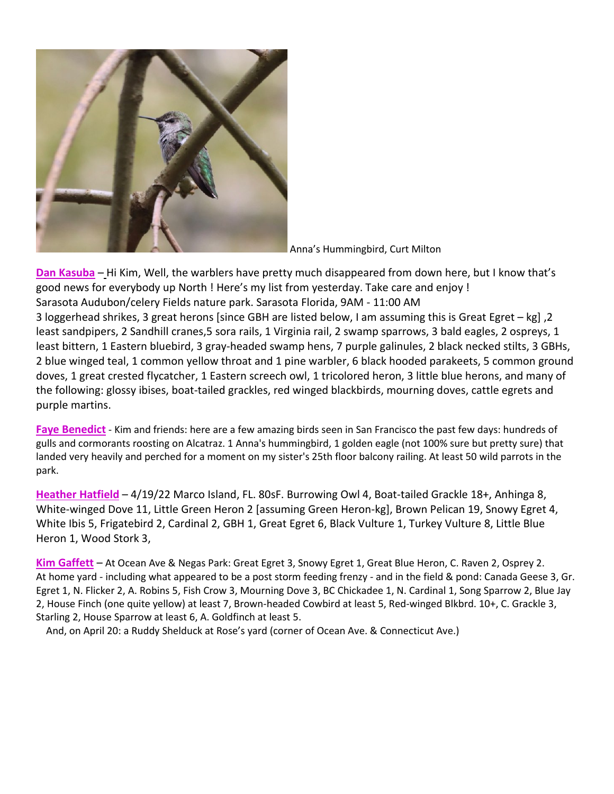

Anna's Hummingbird, Curt Milton

**Dan Kasuba** – Hi Kim, Well, the warblers have pretty much disappeared from down here, but I know that's good news for everybody up North ! Here's my list from yesterday. Take care and enjoy ! Sarasota Audubon/celery Fields nature park. Sarasota Florida, 9AM - 11:00 AM 3 loggerhead shrikes, 3 great herons [since GBH are listed below, I am assuming this is Great Egret – kg] ,2 least sandpipers, 2 Sandhill cranes,5 sora rails, 1 Virginia rail, 2 swamp sparrows, 3 bald eagles, 2 ospreys, 1 least bittern, 1 Eastern bluebird, 3 gray-headed swamp hens, 7 purple galinules, 2 black necked stilts, 3 GBHs, 2 blue winged teal, 1 common yellow throat and 1 pine warbler, 6 black hooded parakeets, 5 common ground doves, 1 great crested flycatcher, 1 Eastern screech owl, 1 tricolored heron, 3 little blue herons, and many of the following: glossy ibises, boat-tailed grackles, red winged blackbirds, mourning doves, cattle egrets and purple martins.

**Faye Benedict** - Kim and friends: here are a few amazing birds seen in San Francisco the past few days: hundreds of gulls and cormorants roosting on Alcatraz. 1 Anna's hummingbird, 1 golden eagle (not 100% sure but pretty sure) that landed very heavily and perched for a moment on my sister's 25th floor balcony railing. At least 50 wild parrots in the park.

**Heather Hatfield** – 4/19/22 Marco Island, FL. 80sF. Burrowing Owl 4, Boat-tailed Grackle 18+, Anhinga 8, White-winged Dove 11, Little Green Heron 2 [assuming Green Heron-kg], Brown Pelican 19, Snowy Egret 4, White Ibis 5, Frigatebird 2, Cardinal 2, GBH 1, Great Egret 6, Black Vulture 1, Turkey Vulture 8, Little Blue Heron 1, Wood Stork 3,

**Kim Gaffett** – At Ocean Ave & Negas Park: Great Egret 3, Snowy Egret 1, Great Blue Heron, C. Raven 2, Osprey 2. At home yard - including what appeared to be a post storm feeding frenzy - and in the field & pond: Canada Geese 3, Gr. Egret 1, N. Flicker 2, A. Robins 5, Fish Crow 3, Mourning Dove 3, BC Chickadee 1, N. Cardinal 1, Song Sparrow 2, Blue Jay 2, House Finch (one quite yellow) at least 7, Brown-headed Cowbird at least 5, Red-winged Blkbrd. 10+, C. Grackle 3, Starling 2, House Sparrow at least 6, A. Goldfinch at least 5.

And, on April 20: a Ruddy Shelduck at Rose's yard (corner of Ocean Ave. & Connecticut Ave.)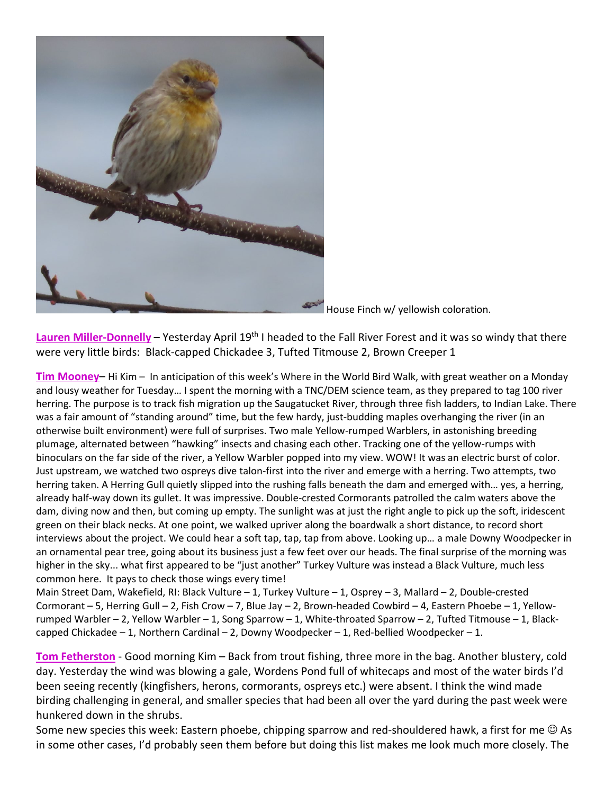

House Finch w/ yellowish coloration.

Lauren Miller-Donnelly – Yesterday April 19<sup>th</sup> I headed to the Fall River Forest and it was so windy that there were very little birds: Black-capped Chickadee 3, Tufted Titmouse 2, Brown Creeper 1

**Tim Mooney**– Hi Kim – In anticipation of this week's Where in the World Bird Walk, with great weather on a Monday and lousy weather for Tuesday… I spent the morning with a TNC/DEM science team, as they prepared to tag 100 river herring. The purpose is to track fish migration up the Saugatucket River, through three fish ladders, to Indian Lake. There was a fair amount of "standing around" time, but the few hardy, just-budding maples overhanging the river (in an otherwise built environment) were full of surprises. Two male Yellow-rumped Warblers, in astonishing breeding plumage, alternated between "hawking" insects and chasing each other. Tracking one of the yellow-rumps with binoculars on the far side of the river, a Yellow Warbler popped into my view. WOW! It was an electric burst of color. Just upstream, we watched two ospreys dive talon-first into the river and emerge with a herring. Two attempts, two herring taken. A Herring Gull quietly slipped into the rushing falls beneath the dam and emerged with… yes, a herring, already half-way down its gullet. It was impressive. Double-crested Cormorants patrolled the calm waters above the dam, diving now and then, but coming up empty. The sunlight was at just the right angle to pick up the soft, iridescent green on their black necks. At one point, we walked upriver along the boardwalk a short distance, to record short interviews about the project. We could hear a soft tap, tap, tap from above. Looking up… a male Downy Woodpecker in an ornamental pear tree, going about its business just a few feet over our heads. The final surprise of the morning was higher in the sky... what first appeared to be "just another" Turkey Vulture was instead a Black Vulture, much less common here. It pays to check those wings every time!

Main Street Dam, Wakefield, RI: Black Vulture – 1, Turkey Vulture – 1, Osprey – 3, Mallard – 2, Double-crested Cormorant – 5, Herring Gull – 2, Fish Crow – 7, Blue Jay – 2, Brown-headed Cowbird – 4, Eastern Phoebe – 1, Yellowrumped Warbler – 2, Yellow Warbler – 1, Song Sparrow – 1, White-throated Sparrow – 2, Tufted Titmouse – 1, Blackcapped Chickadee – 1, Northern Cardinal – 2, Downy Woodpecker – 1, Red-bellied Woodpecker – 1.

**Tom Fetherston** - Good morning Kim – Back from trout fishing, three more in the bag. Another blustery, cold day. Yesterday the wind was blowing a gale, Wordens Pond full of whitecaps and most of the water birds I'd been seeing recently (kingfishers, herons, cormorants, ospreys etc.) were absent. I think the wind made birding challenging in general, and smaller species that had been all over the yard during the past week were hunkered down in the shrubs.

Some new species this week: Eastern phoebe, chipping sparrow and red-shouldered hawk, a first for me  $\odot$  As in some other cases, I'd probably seen them before but doing this list makes me look much more closely. The